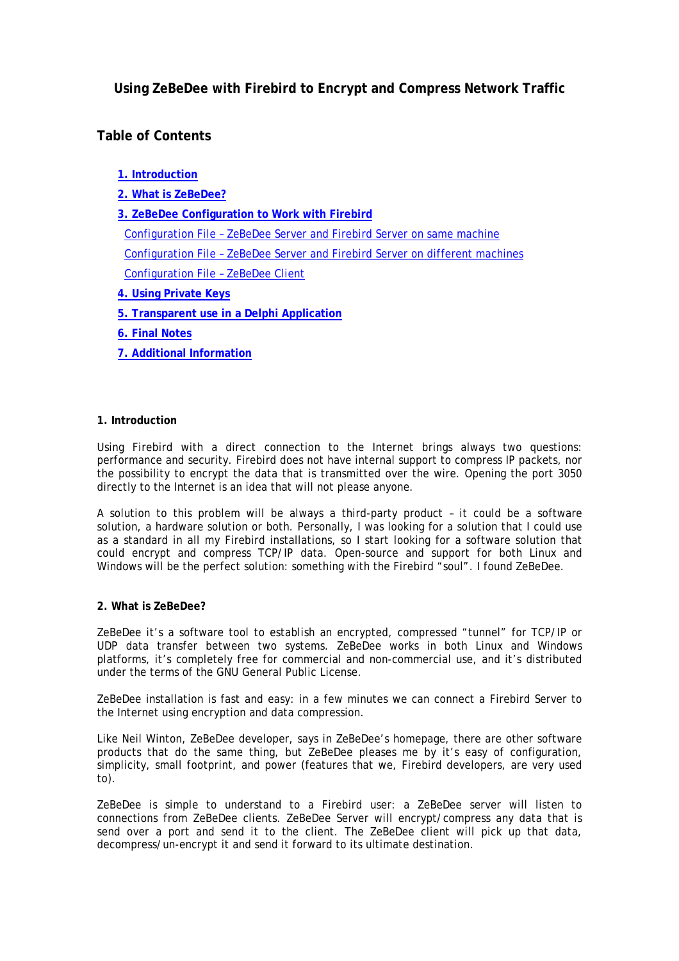# **Using ZeBeDee with Firebird to Encrypt and Compress Network Traffic**

# **Table of Contents**

**1. Introduction**

**2. What is ZeBeDee?**

**[3. ZeBeDee Configuration to Work with Firebird](#page-1-0)**

 [Configuration File – ZeBeDee Server and Firebird Server on same machine](#page-2-0) [Configuration File – ZeBeDee Server and Firebird Server on different machines](#page-3-0) [Configuration File – ZeBeDee Client](#page-3-0)

- **[4. Using Private Keys](#page-4-0)**
- **[5. Transparent use in a Delphi Application](#page-5-0)**
- **[6. Final Notes](#page-5-0)**
- **[7. Additional Information](#page-5-0)**

## **1. Introduction**

Using Firebird with a direct connection to the Internet brings always two questions: performance and security. Firebird does not have internal support to compress IP packets, nor the possibility to encrypt the data that is transmitted over the wire. Opening the port 3050 directly to the Internet is an idea that will not please anyone.

A solution to this problem will be always a third-party product – it could be a software solution, a hardware solution or both. Personally, I was looking for a solution that I could use as a standard in all my Firebird installations, so I start looking for a software solution that could encrypt and compress TCP/IP data. Open-source and support for both Linux and Windows will be the perfect solution: something with the Firebird "soul". I found ZeBeDee.

# **2. What is ZeBeDee?**

ZeBeDee it's a software tool to establish an encrypted, compressed "tunnel" for TCP/IP or UDP data transfer between two systems. ZeBeDee works in both Linux and Windows platforms, it's completely free for commercial and non-commercial use, and it's distributed under the terms of the GNU General Public License.

ZeBeDee installation is fast and easy: in a few minutes we can connect a Firebird Server to the Internet using encryption and data compression.

Like Neil Winton, ZeBeDee developer, says in ZeBeDee's homepage, there are other software products that do the same thing, but ZeBeDee pleases me by it's easy of configuration, simplicity, small footprint, and power (features that we, Firebird developers, are very used to).

ZeBeDee is simple to understand to a Firebird user: a ZeBeDee server will listen to connections from ZeBeDee clients. ZeBeDee Server will encrypt/compress any data that is send over a port and send it to the client. The ZeBeDee client will pick up that data, decompress/un-encrypt it and send it forward to its ultimate destination.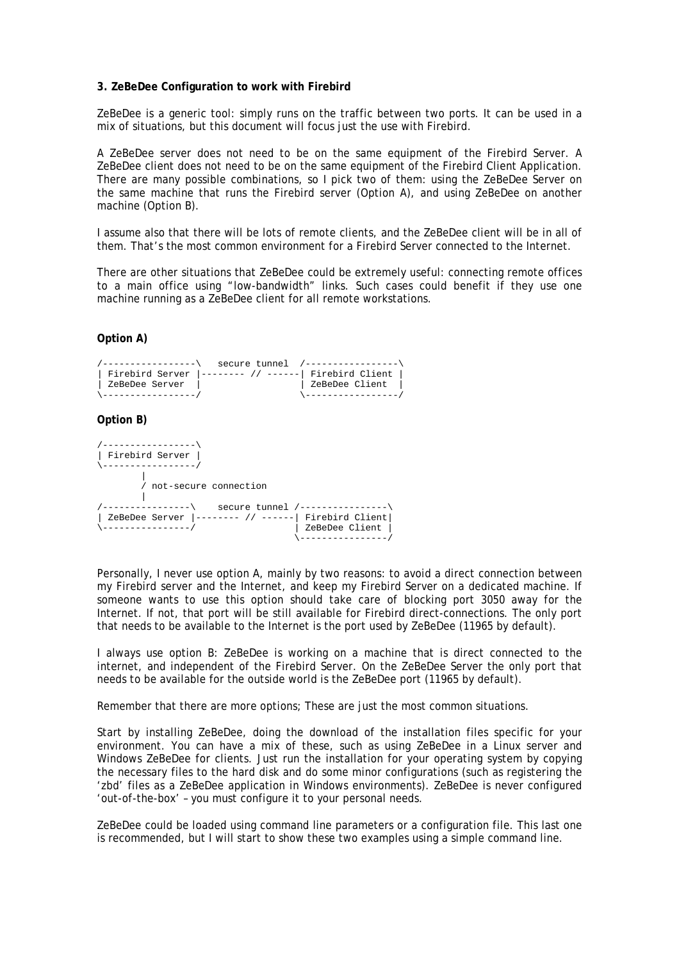## <span id="page-1-0"></span>**3. ZeBeDee Configuration to work with Firebird**

ZeBeDee is a generic tool: simply runs on the traffic between two ports. It can be used in a mix of situations, but this document will focus just the use with Firebird.

A ZeBeDee server does not need to be on the same equipment of the Firebird Server. A ZeBeDee client does not need to be on the same equipment of the Firebird Client Application. There are many possible combinations, so I pick two of them: using the ZeBeDee Server on the same machine that runs the Firebird server (Option A), and using ZeBeDee on another machine (Option B).

I assume also that there will be lots of remote clients, and the ZeBeDee client will be in all of them. That's the most common environment for a Firebird Server connected to the Internet.

There are other situations that ZeBeDee could be extremely useful: connecting remote offices to a main office using "low-bandwidth" links. Such cases could benefit if they use one machine running as a ZeBeDee client for all remote workstations.

# **Option A)**



#### /-----------------\ | Firebird Server | \-----------------/  $\blacksquare$  / not-secure connection | /----------------\ secure tunnel /----------------\ | ZeBeDee Server |-------- // ------| Firebird Client| \----------------/ | ZeBeDee Client |

Personally, I never use option A, mainly by two reasons: to avoid a direct connection between my Firebird server and the Internet, and keep my Firebird Server on a dedicated machine. If someone wants to use this option should take care of blocking port 3050 away for the Internet. If not, that port will be still available for Firebird direct-connections. The only port that needs to be available to the Internet is the port used by ZeBeDee (11965 by default).

\----------------/

I always use option B: ZeBeDee is working on a machine that is direct connected to the internet, and independent of the Firebird Server. On the ZeBeDee Server the only port that needs to be available for the outside world is the ZeBeDee port (11965 by default).

Remember that there are more options; These are just the most common situations.

Start by installing ZeBeDee, doing the download of the installation files specific for your environment. You can have a mix of these, such as using ZeBeDee in a Linux server and Windows ZeBeDee for clients. Just run the installation for your operating system by copying the necessary files to the hard disk and do some minor configurations (such as registering the 'zbd' files as a ZeBeDee application in Windows environments). ZeBeDee is never configured 'out-of-the-box' – you must configure it to your personal needs.

ZeBeDee could be loaded using command line parameters or a configuration file. This last one is recommended, but I will start to show these two examples using a simple command line.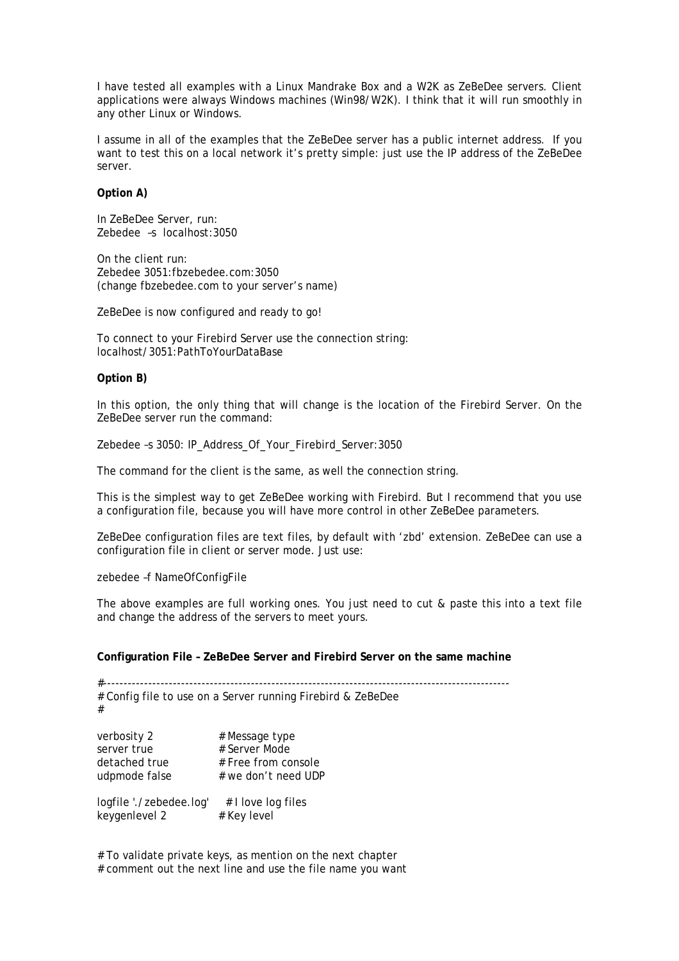<span id="page-2-0"></span>I have tested all examples with a Linux Mandrake Box and a W2K as ZeBeDee servers. Client applications were always Windows machines (Win98/W2K). I think that it will run smoothly in any other Linux or Windows.

I assume in all of the examples that the ZeBeDee server has a public internet address. If you want to test this on a local network it's pretty simple: just use the IP address of the ZeBeDee server.

## **Option A)**

In ZeBeDee Server, run: Zebedee –s localhost:3050

On the client run: Zebedee 3051:fbzebedee.com:3050 (change fbzebedee.com to your server's name)

ZeBeDee is now configured and ready to go!

To connect to your Firebird Server use the connection string: localhost/3051:PathToYourDataBase

#### **Option B)**

In this option, the only thing that will change is the location of the Firebird Server. On the ZeBeDee server run the command:

Zebedee -s 3050: IP\_Address\_Of\_Your\_Firebird\_Server:3050

The command for the client is the same, as well the connection string.

This is the simplest way to get ZeBeDee working with Firebird. But I recommend that you use a configuration file, because you will have more control in other ZeBeDee parameters.

ZeBeDee configuration files are text files, by default with 'zbd' extension. ZeBeDee can use a configuration file in client or server mode. Just use:

zebedee –f NameOfConfigFile

The above examples are full working ones. You just need to cut & paste this into a text file and change the address of the servers to meet yours.

#### **Configuration File – ZeBeDee Server and Firebird Server on the same machine**

#--------------------------------------------------------------------------------------------------- # Config file to use on a Server running Firebird & ZeBeDee # verbosity 2 # Message type server true # Server Mode detached true # Free from console udpmode false # we don't need UDP logfile './zebedee.log' # I love log files keygenlevel  $2$  # Key level

# To validate private keys, as mention on the next chapter # comment out the next line and use the file name you want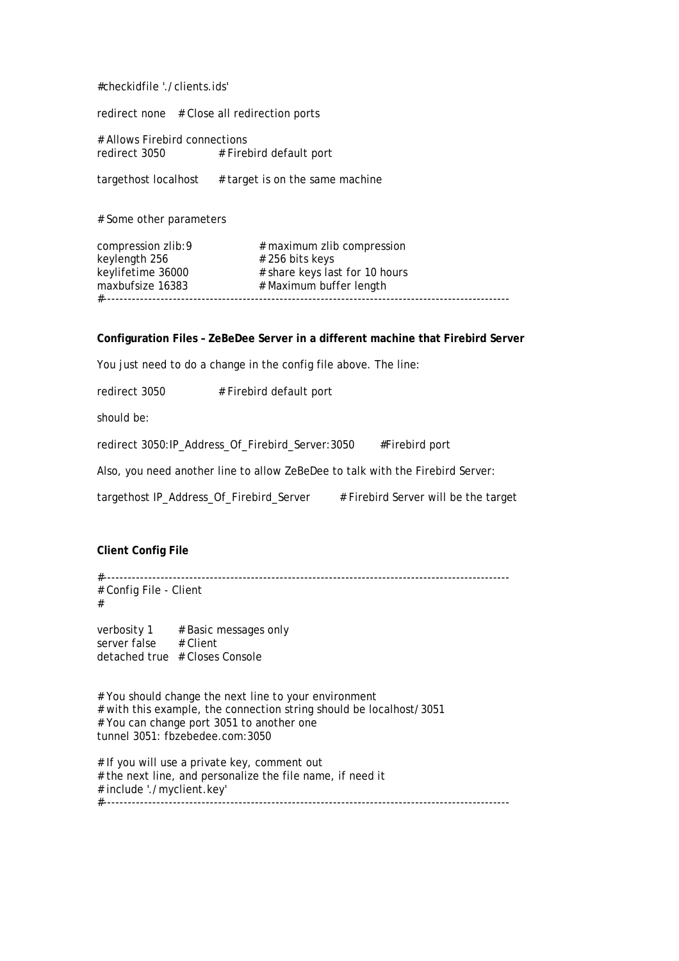<span id="page-3-0"></span>#checkidfile './clients.ids'

redirect none # Close all redirection ports

# Allows Firebird connections redirect 3050 # Firebird default port

targethost localhost  $#$  target is on the same machine

# Some other parameters

compression zlib:9 # maximum zlib compression keylength  $256$   $\qquad$   $\qquad$   $\qquad$   $\qquad$   $\qquad$   $\qquad$   $\qquad$   $\qquad$   $\qquad$   $\qquad$   $\qquad$   $\qquad$   $\qquad$   $\qquad$   $\qquad$   $\qquad$   $\qquad$   $\qquad$   $\qquad$   $\qquad$   $\qquad$   $\qquad$   $\qquad$   $\qquad$   $\qquad$   $\qquad$   $\qquad$   $\qquad$   $\qquad$   $\qquad$   $\qquad$   $\qquad$   $\qquad$   $\qquad$  keylifetime 36000 # share keys last for 10 hours maxbufsize 16383 **# Maximum buffer length** #---------------------------------------------------------------------------------------------------

#### **Configuration Files – ZeBeDee Server in a different machine that Firebird Server**

You just need to do a change in the config file above. The line:

redirect 3050 # Firebird default port

should be:

redirect 3050:IP\_Address\_Of\_Firebird\_Server:3050 #Firebird port

Also, you need another line to allow ZeBeDee to talk with the Firebird Server:

targethost IP\_Address\_Of\_Firebird\_Server # Firebird Server will be the target

#### **Client Config File**

#---------------------------------------------------------------------------------------------------

# Config File - Client #

verbosity  $1$  # Basic messages only server false # Client detached true # Closes Console

# You should change the next line to your environment # with this example, the connection string should be localhost/3051 # You can change port 3051 to another one tunnel 3051: fbzebedee.com:3050

# If you will use a private key, comment out # the next line, and personalize the file name, if need it # include './myclient.key' #---------------------------------------------------------------------------------------------------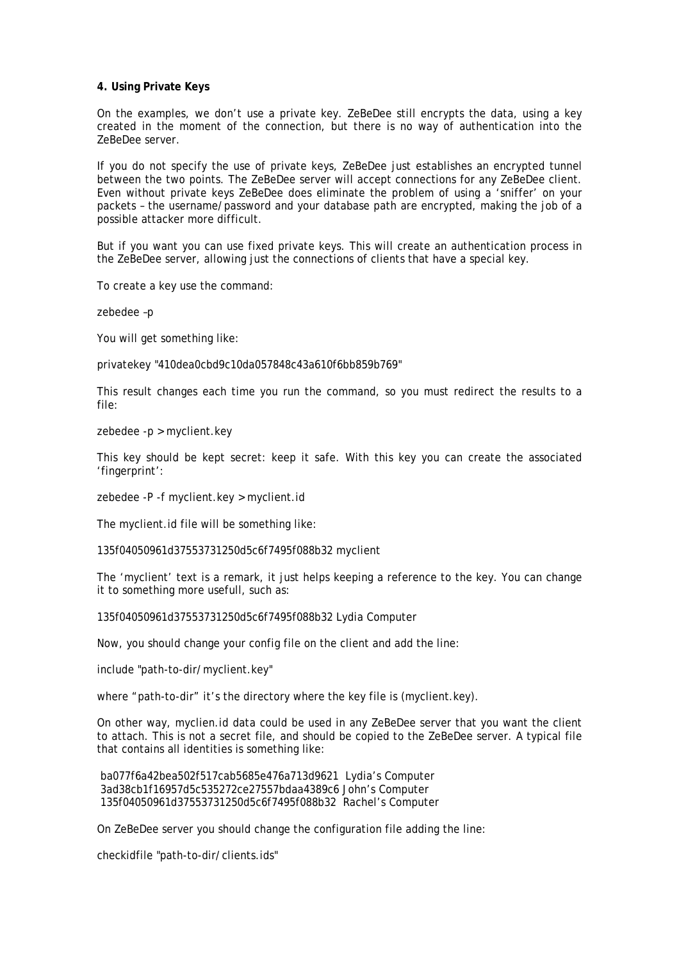#### <span id="page-4-0"></span>**4. Using Private Keys**

On the examples, we don't use a private key. ZeBeDee still encrypts the data, using a key created in the moment of the connection, but there is no way of authentication into the ZeBeDee server.

If you do not specify the use of private keys, ZeBeDee just establishes an encrypted tunnel between the two points. The ZeBeDee server will accept connections for any ZeBeDee client. Even without private keys ZeBeDee does eliminate the problem of using a 'sniffer' on your packets – the username/password and your database path are encrypted, making the job of a possible attacker more difficult.

But if you want you can use fixed private keys. This will create an authentication process in the ZeBeDee server, allowing just the connections of clients that have a special key.

To create a key use the command:

zebedee –p

You will get something like:

privatekey "410dea0cbd9c10da057848c43a610f6bb859b769"

This result changes each time you run the command, so you must redirect the results to a file:

zebedee -p > myclient.key

This key should be kept secret: keep it safe. With this key you can create the associated 'fingerprint':

zebedee -P -f myclient.key > myclient.id

The myclient.id file will be something like:

135f04050961d37553731250d5c6f7495f088b32 myclient

The 'myclient' text is a remark, it just helps keeping a reference to the key. You can change it to something more usefull, such as:

135f04050961d37553731250d5c6f7495f088b32 Lydia Computer

Now, you should change your config file on the client and add the line:

include "path-to-dir/myclient.key"

where "path-to-dir" it's the directory where the key file is (myclient.key).

On other way, myclien.id data could be used in any ZeBeDee server that you want the client to attach. This is not a secret file, and should be copied to the ZeBeDee server. A typical file that contains all identities is something like:

 ba077f6a42bea502f517cab5685e476a713d9621 Lydia's Computer 3ad38cb1f16957d5c535272ce27557bdaa4389c6 John's Computer 135f04050961d37553731250d5c6f7495f088b32 Rachel's Computer

On ZeBeDee server you should change the configuration file adding the line:

checkidfile "path-to-dir/clients.ids"